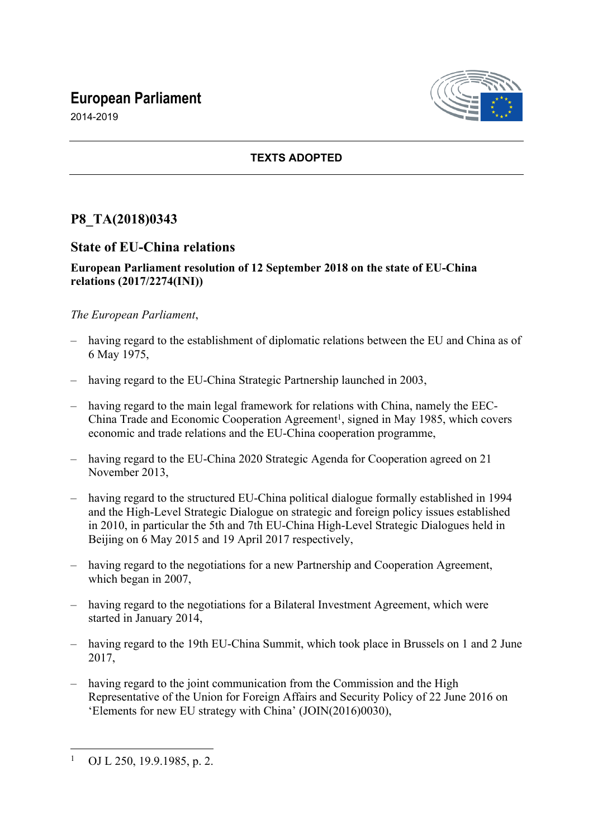# **European Parliament**



2014-2019

### **TEXTS ADOPTED**

## **P8\_TA(2018)0343**

### **State of EU-China relations**

#### **European Parliament resolution of 12 September 2018 on the state of EU-China relations (2017/2274(INI))**

#### *The European Parliament*,

- having regard to the establishment of diplomatic relations between the EU and China as of 6 May 1975,
- having regard to the EU-China Strategic Partnership launched in 2003,
- having regard to the main legal framework for relations with China, namely the EEC-China Trade and Economic Cooperation Agreement<sup>1</sup>, signed in May 1985, which covers economic and trade relations and the EU-China cooperation programme,
- having regard to the EU-China 2020 Strategic Agenda for Cooperation agreed on 21 November 2013,
- having regard to the structured EU-China political dialogue formally established in 1994 and the High-Level Strategic Dialogue on strategic and foreign policy issues established in 2010, in particular the 5th and 7th EU-China High-Level Strategic Dialogues held in Beijing on 6 May 2015 and 19 April 2017 respectively,
- having regard to the negotiations for a new Partnership and Cooperation Agreement, which began in 2007,
- having regard to the negotiations for a Bilateral Investment Agreement, which were started in January 2014,
- having regard to the 19th EU-China Summit, which took place in Brussels on 1 and 2 June 2017,
- having regard to the joint communication from the Commission and the High Representative of the Union for Foreign Affairs and Security Policy of 22 June 2016 on 'Elements for new EU strategy with China' (JOIN(2016)0030),

<sup>1</sup> OJ L 250, 19.9.1985, p. 2.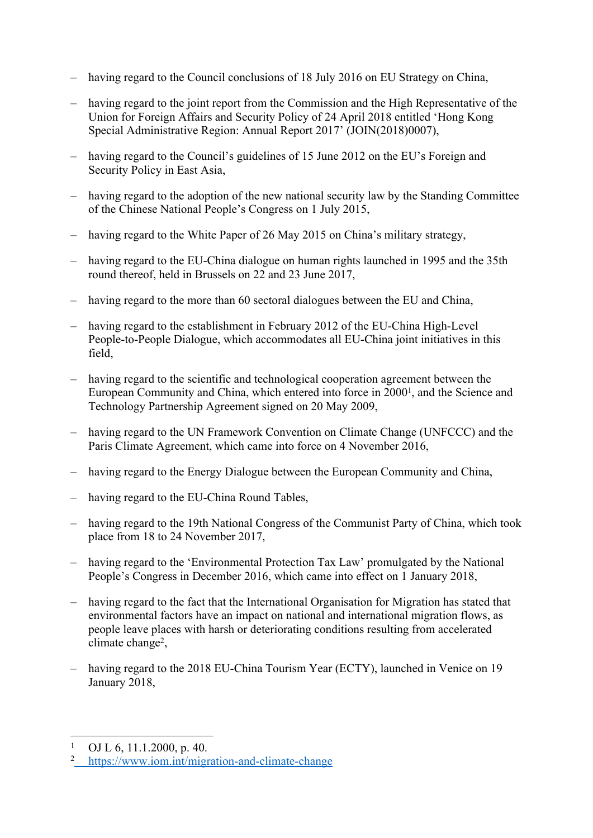- having regard to the Council conclusions of 18 July 2016 on EU Strategy on China,
- having regard to the joint report from the Commission and the High Representative of the Union for Foreign Affairs and Security Policy of 24 April 2018 entitled 'Hong Kong Special Administrative Region: Annual Report 2017' (JOIN(2018)0007),
- having regard to the Council's guidelines of 15 June 2012 on the EU's Foreign and Security Policy in East Asia,
- having regard to the adoption of the new national security law by the Standing Committee of the Chinese National People's Congress on 1 July 2015,
- having regard to the White Paper of 26 May 2015 on China's military strategy,
- having regard to the EU-China dialogue on human rights launched in 1995 and the 35th round thereof, held in Brussels on 22 and 23 June 2017,
- having regard to the more than 60 sectoral dialogues between the EU and China.
- having regard to the establishment in February 2012 of the EU-China High-Level People-to-People Dialogue, which accommodates all EU-China joint initiatives in this field,
- having regard to the scientific and technological cooperation agreement between the European Community and China, which entered into force in 2000<sup>1</sup>, and the Science and Technology Partnership Agreement signed on 20 May 2009,
- having regard to the UN Framework Convention on Climate Change (UNFCCC) and the Paris Climate Agreement, which came into force on 4 November 2016,
- having regard to the Energy Dialogue between the European Community and China,
- having regard to the EU-China Round Tables,
- having regard to the 19th National Congress of the Communist Party of China, which took place from 18 to 24 November 2017,
- having regard to the 'Environmental Protection Tax Law' promulgated by the National People's Congress in December 2016, which came into effect on 1 January 2018,
- having regard to the fact that the International Organisation for Migration has stated that environmental factors have an impact on national and international migration flows, as people leave places with harsh or deteriorating conditions resulting from accelerated climate change<sup>2</sup>,
- having regard to the 2018 EU-China Tourism Year (ECTY), launched in Venice on 19 January 2018,

<sup>1</sup> OJ L 6, 11.1.2000, p. 40.

<sup>2</sup> <https://www.iom.int/migration-and-climate-change>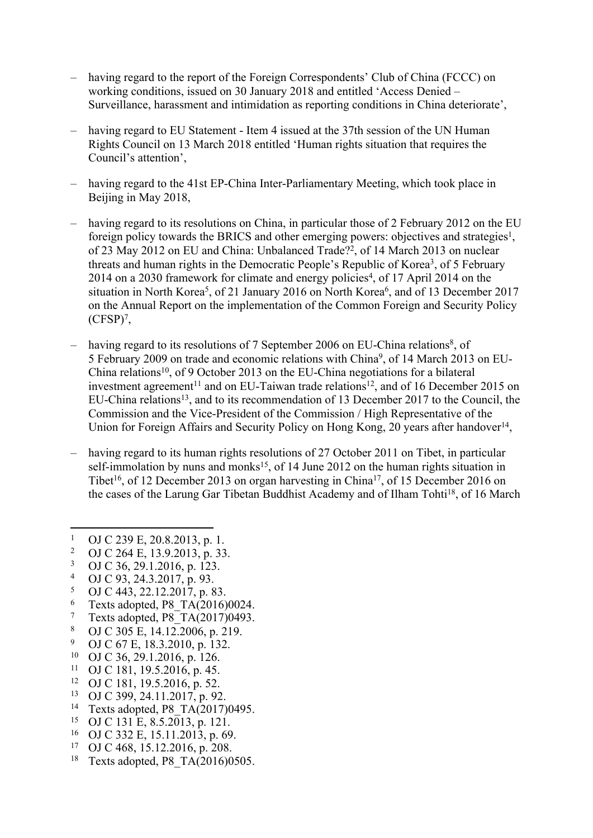- having regard to the report of the Foreign Correspondents' Club of China (FCCC) on working conditions, issued on 30 January 2018 and entitled 'Access Denied – Surveillance, harassment and intimidation as reporting conditions in China deteriorate',
- having regard to EU Statement Item 4 issued at the 37th session of the UN Human Rights Council on 13 March 2018 entitled 'Human rights situation that requires the Council's attention',
- having regard to the 41st EP-China Inter-Parliamentary Meeting, which took place in Beijing in May 2018,
- having regard to its resolutions on China, in particular those of 2 February 2012 on the EU foreign policy towards the BRICS and other emerging powers: objectives and strategies<sup>1</sup>, of 23 May 2012 on EU and China: Unbalanced Trade?<sup>2</sup>, of 14 March 2013 on nuclear threats and human rights in the Democratic People's Republic of Korea<sup>3</sup>, of 5 February 2014 on a 2030 framework for climate and energy policies<sup>4</sup>, of 17 April 2014 on the situation in North Korea<sup>5</sup>, of 21 January 2016 on North Korea<sup>6</sup>, and of 13 December 2017 on the Annual Report on the implementation of the Common Foreign and Security Policy (CFSP)<sup>7</sup> ,
- having regard to its resolutions of 7 September 2006 on EU-China relations<sup>8</sup>, of 5 February 2009 on trade and economic relations with China<sup>9</sup>, of 14 March 2013 on EU-China relations<sup>10</sup>, of 9 October 2013 on the EU-China negotiations for a bilateral investment agreement<sup>11</sup> and on EU-Taiwan trade relations<sup>12</sup>, and of 16 December 2015 on EU-China relations<sup>13</sup>, and to its recommendation of 13 December 2017 to the Council, the Commission and the Vice-President of the Commission / High Representative of the Union for Foreign Affairs and Security Policy on Hong Kong, 20 years after handover<sup>14</sup>,
- having regard to its human rights resolutions of 27 October 2011 on Tibet, in particular self-immolation by nuns and monks<sup>15</sup>, of 14 June 2012 on the human rights situation in Tibet<sup>16</sup>, of 12 December 2013 on organ harvesting in China<sup>17</sup>, of 15 December 2016 on the cases of the Larung Gar Tibetan Buddhist Academy and of Ilham Tohti<sup>18</sup>, of 16 March

- 3 OJ C 36, 29.1.2016, p. 123.
- 4 OJ C 93, 24.3.2017, p. 93.
- 5 OJ C 443, 22.12.2017, p. 83.
- 6 Texts adopted, P8\_TA(2016)0024.
- 7 Texts adopted, P8\_TA(2017)0493.
- 8 OJ C 305 E, 14.12.2006, p. 219.
- 9 <sup>9</sup> OJ C 67 E, 18.3.2010, p. 132.<br><sup>10</sup> OJ C 36, 29, 1, 2016, p. 126.
- <sup>10</sup> OJ C 36, 29.1.2016, p. 126.<br><sup>11</sup> OJ C 181, 19.5.2016, p. 45.
- <sup>11</sup> OJ C 181, 19.5.2016, p. 45.<br><sup>12</sup> OJ C 181, 19.5.2016, p. 52.
- <sup>12</sup> OJ C 181, 19.5.2016, p. 52.<br><sup>13</sup> OJ C 300, 24.11.2017, p. 02
- <sup>13</sup> OJ C 399, 24.11.2017, p. 92.<br><sup>14</sup> Texts adopted P8, TA(2017)
- Texts adopted, P8\_TA(2017)0495.
- <sup>15</sup> OJ C 131 E, 8.5.2013, p. 121.<br><sup>16</sup> OLC 332 E 15 11 2013, p. 69
- <sup>16</sup> OJ C 332 E, 15.11.2013, p. 69.<br><sup>17</sup> OJ C 468, 15, 12, 2016, p. 208.
- OJ C 468, 15.12.2016, p. 208.
- <sup>18</sup> Texts adopted, P8 TA $(2016)0505$ .

<sup>1</sup> OJ C 239 E, 20.8.2013, p. 1.

<sup>2</sup> OJ C 264 E, 13.9.2013, p. 33.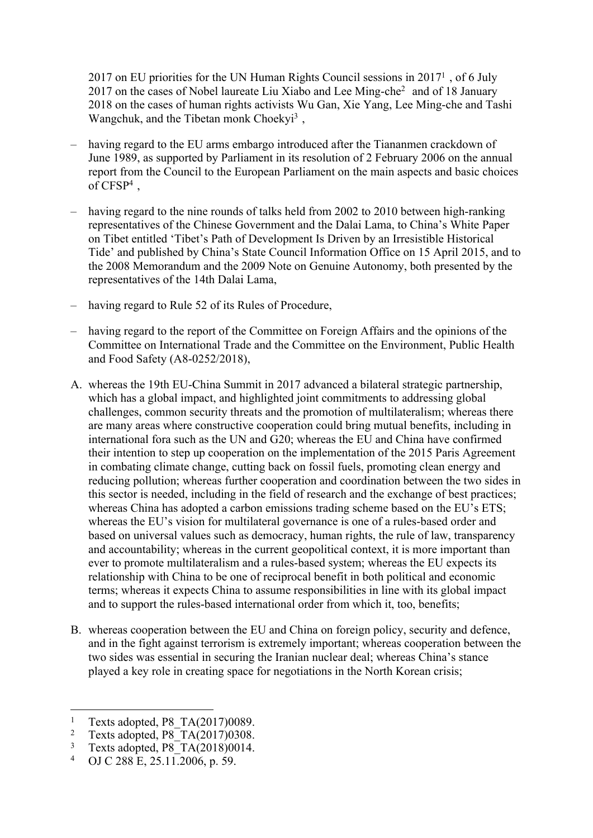2017 on EU priorities for the UN Human Rights Council sessions in 2017<sup>1</sup>, of 6 July 2017 on the cases of Nobel laureate Liu Xiabo and Lee Ming-che<sup>2</sup> and of 18 January 2018 on the cases of human rights activists Wu Gan, Xie Yang, Lee Ming-che and Tashi Wangchuk, and the Tibetan monk Choekyi<sup>3</sup>,

- having regard to the EU arms embargo introduced after the Tiananmen crackdown of June 1989, as supported by Parliament in its resolution of 2 February 2006 on the annual report from the Council to the European Parliament on the main aspects and basic choices of CFSP<sup>4</sup> ,
- having regard to the nine rounds of talks held from 2002 to 2010 between high-ranking representatives of the Chinese Government and the Dalai Lama, to China's White Paper on Tibet entitled 'Tibet's Path of Development Is Driven by an Irresistible Historical Tide' and published by China's State Council Information Office on 15 April 2015, and to the 2008 Memorandum and the 2009 Note on Genuine Autonomy, both presented by the representatives of the 14th Dalai Lama,
- having regard to Rule 52 of its Rules of Procedure,
- having regard to the report of the Committee on Foreign Affairs and the opinions of the Committee on International Trade and the Committee on the Environment, Public Health and Food Safety (A8-0252/2018),
- A. whereas the 19th EU-China Summit in 2017 advanced a bilateral strategic partnership, which has a global impact, and highlighted joint commitments to addressing global challenges, common security threats and the promotion of multilateralism; whereas there are many areas where constructive cooperation could bring mutual benefits, including in international fora such as the UN and G20; whereas the EU and China have confirmed their intention to step up cooperation on the implementation of the 2015 Paris Agreement in combating climate change, cutting back on fossil fuels, promoting clean energy and reducing pollution; whereas further cooperation and coordination between the two sides in this sector is needed, including in the field of research and the exchange of best practices; whereas China has adopted a carbon emissions trading scheme based on the EU's ETS; whereas the EU's vision for multilateral governance is one of a rules-based order and based on universal values such as democracy, human rights, the rule of law, transparency and accountability; whereas in the current geopolitical context, it is more important than ever to promote multilateralism and a rules-based system; whereas the EU expects its relationship with China to be one of reciprocal benefit in both political and economic terms; whereas it expects China to assume responsibilities in line with its global impact and to support the rules-based international order from which it, too, benefits;
- B. whereas cooperation between the EU and China on foreign policy, security and defence, and in the fight against terrorism is extremely important; whereas cooperation between the two sides was essential in securing the Iranian nuclear deal; whereas China's stance played a key role in creating space for negotiations in the North Korean crisis;

<sup>1</sup> Texts adopted, P8\_TA(2017)0089.

<sup>2</sup> Texts adopted, P8\_TA(2017)0308.

<sup>3</sup> Texts adopted, P8<sup>T</sup>A(2018)0014.

<sup>4</sup> OJ C 288 E, 25.11.2006, p. 59.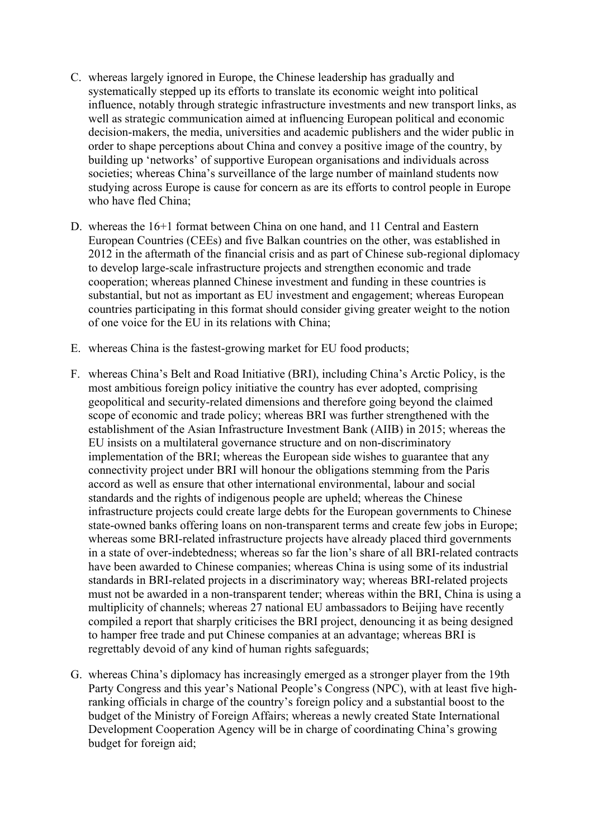- C. whereas largely ignored in Europe, the Chinese leadership has gradually and systematically stepped up its efforts to translate its economic weight into political influence, notably through strategic infrastructure investments and new transport links, as well as strategic communication aimed at influencing European political and economic decision-makers, the media, universities and academic publishers and the wider public in order to shape perceptions about China and convey a positive image of the country, by building up 'networks' of supportive European organisations and individuals across societies; whereas China's surveillance of the large number of mainland students now studying across Europe is cause for concern as are its efforts to control people in Europe who have fled China;
- D. whereas the 16+1 format between China on one hand, and 11 Central and Eastern European Countries (CEEs) and five Balkan countries on the other, was established in 2012 in the aftermath of the financial crisis and as part of Chinese sub-regional diplomacy to develop large-scale infrastructure projects and strengthen economic and trade cooperation; whereas planned Chinese investment and funding in these countries is substantial, but not as important as EU investment and engagement; whereas European countries participating in this format should consider giving greater weight to the notion of one voice for the EU in its relations with China;
- E. whereas China is the fastest-growing market for EU food products;
- F. whereas China's Belt and Road Initiative (BRI), including China's Arctic Policy, is the most ambitious foreign policy initiative the country has ever adopted, comprising geopolitical and security-related dimensions and therefore going beyond the claimed scope of economic and trade policy; whereas BRI was further strengthened with the establishment of the Asian Infrastructure Investment Bank (AIIB) in 2015; whereas the EU insists on a multilateral governance structure and on non-discriminatory implementation of the BRI; whereas the European side wishes to guarantee that any connectivity project under BRI will honour the obligations stemming from the Paris accord as well as ensure that other international environmental, labour and social standards and the rights of indigenous people are upheld; whereas the Chinese infrastructure projects could create large debts for the European governments to Chinese state-owned banks offering loans on non-transparent terms and create few jobs in Europe; whereas some BRI-related infrastructure projects have already placed third governments in a state of over-indebtedness; whereas so far the lion's share of all BRI-related contracts have been awarded to Chinese companies; whereas China is using some of its industrial standards in BRI-related projects in a discriminatory way; whereas BRI-related projects must not be awarded in a non-transparent tender; whereas within the BRI, China is using a multiplicity of channels; whereas 27 national EU ambassadors to Beijing have recently compiled a report that sharply criticises the BRI project, denouncing it as being designed to hamper free trade and put Chinese companies at an advantage; whereas BRI is regrettably devoid of any kind of human rights safeguards;
- G. whereas China's diplomacy has increasingly emerged as a stronger player from the 19th Party Congress and this year's National People's Congress (NPC), with at least five highranking officials in charge of the country's foreign policy and a substantial boost to the budget of the Ministry of Foreign Affairs; whereas a newly created State International Development Cooperation Agency will be in charge of coordinating China's growing budget for foreign aid;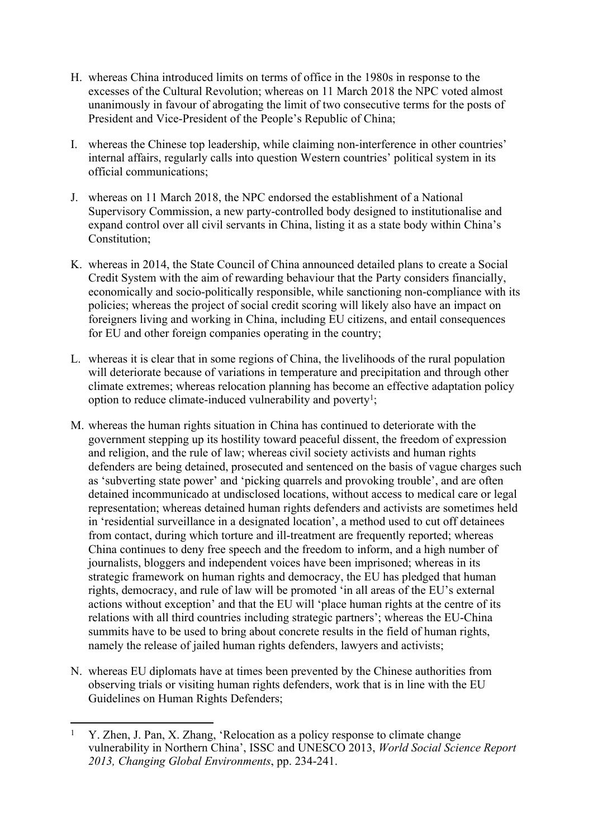- H. whereas China introduced limits on terms of office in the 1980s in response to the excesses of the Cultural Revolution; whereas on 11 March 2018 the NPC voted almost unanimously in favour of abrogating the limit of two consecutive terms for the posts of President and Vice-President of the People's Republic of China;
- I. whereas the Chinese top leadership, while claiming non-interference in other countries' internal affairs, regularly calls into question Western countries' political system in its official communications;
- J. whereas on 11 March 2018, the NPC endorsed the establishment of a National Supervisory Commission, a new party-controlled body designed to institutionalise and expand control over all civil servants in China, listing it as a state body within China's Constitution;
- K. whereas in 2014, the State Council of China announced detailed plans to create a Social Credit System with the aim of rewarding behaviour that the Party considers financially, economically and socio-politically responsible, while sanctioning non-compliance with its policies; whereas the project of social credit scoring will likely also have an impact on foreigners living and working in China, including EU citizens, and entail consequences for EU and other foreign companies operating in the country;
- L. whereas it is clear that in some regions of China, the livelihoods of the rural population will deteriorate because of variations in temperature and precipitation and through other climate extremes; whereas relocation planning has become an effective adaptation policy option to reduce climate-induced vulnerability and poverty<sup>1</sup>;
- M. whereas the human rights situation in China has continued to deteriorate with the government stepping up its hostility toward peaceful dissent, the freedom of expression and religion, and the rule of law; whereas civil society activists and human rights defenders are being detained, prosecuted and sentenced on the basis of vague charges such as 'subverting state power' and 'picking quarrels and provoking trouble', and are often detained incommunicado at undisclosed locations, without access to medical care or legal representation; whereas detained human rights defenders and activists are sometimes held in 'residential surveillance in a designated location', a method used to cut off detainees from contact, during which torture and ill-treatment are frequently reported; whereas China continues to deny free speech and the freedom to inform, and a high number of journalists, bloggers and independent voices have been imprisoned; whereas in its strategic framework on human rights and democracy, the EU has pledged that human rights, democracy, and rule of law will be promoted 'in all areas of the EU's external actions without exception' and that the EU will 'place human rights at the centre of its relations with all third countries including strategic partners'; whereas the EU-China summits have to be used to bring about concrete results in the field of human rights, namely the release of jailed human rights defenders, lawyers and activists;
- N. whereas EU diplomats have at times been prevented by the Chinese authorities from observing trials or visiting human rights defenders, work that is in line with the EU Guidelines on Human Rights Defenders;

<sup>1</sup> Y. Zhen, J. Pan, X. Zhang, 'Relocation as a policy response to climate change vulnerability in Northern China', ISSC and UNESCO 2013, *World Social Science Report 2013, Changing Global Environments*, pp. 234-241.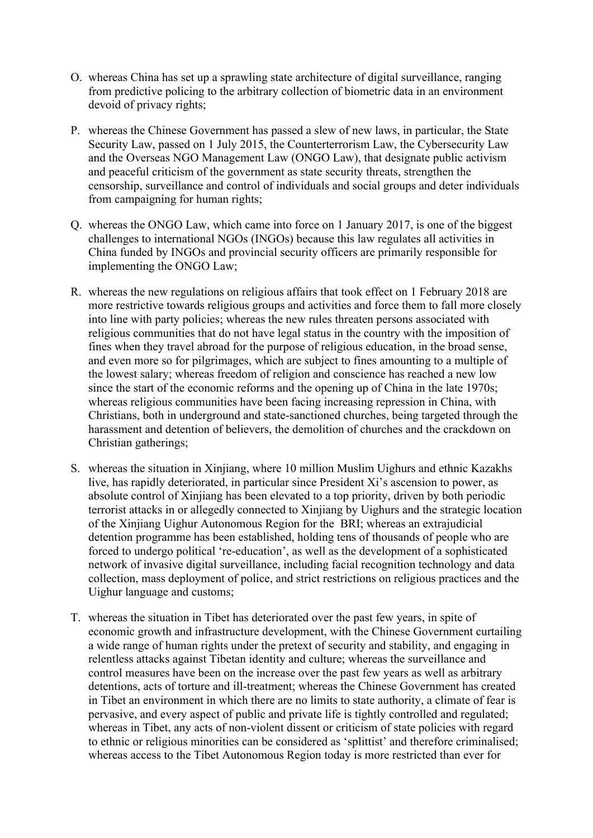- O. whereas China has set up a sprawling state architecture of digital surveillance, ranging from predictive policing to the arbitrary collection of biometric data in an environment devoid of privacy rights;
- P. whereas the Chinese Government has passed a slew of new laws, in particular, the State Security Law, passed on 1 July 2015, the Counterterrorism Law, the Cybersecurity Law and the Overseas NGO Management Law (ONGO Law), that designate public activism and peaceful criticism of the government as state security threats, strengthen the censorship, surveillance and control of individuals and social groups and deter individuals from campaigning for human rights;
- Q. whereas the ONGO Law, which came into force on 1 January 2017, is one of the biggest challenges to international NGOs (INGOs) because this law regulates all activities in China funded by INGOs and provincial security officers are primarily responsible for implementing the ONGO Law;
- R. whereas the new regulations on religious affairs that took effect on 1 February 2018 are more restrictive towards religious groups and activities and force them to fall more closely into line with party policies; whereas the new rules threaten persons associated with religious communities that do not have legal status in the country with the imposition of fines when they travel abroad for the purpose of religious education, in the broad sense, and even more so for pilgrimages, which are subject to fines amounting to a multiple of the lowest salary; whereas freedom of religion and conscience has reached a new low since the start of the economic reforms and the opening up of China in the late 1970s; whereas religious communities have been facing increasing repression in China, with Christians, both in underground and state-sanctioned churches, being targeted through the harassment and detention of believers, the demolition of churches and the crackdown on Christian gatherings;
- S. whereas the situation in Xinjiang, where 10 million Muslim Uighurs and ethnic Kazakhs live, has rapidly deteriorated, in particular since President Xi's ascension to power, as absolute control of Xinjiang has been elevated to a top priority, driven by both periodic terrorist attacks in or allegedly connected to Xinjiang by Uighurs and the strategic location of the Xinjiang Uighur Autonomous Region for the BRI; whereas an extrajudicial detention programme has been established, holding tens of thousands of people who are forced to undergo political 're-education', as well as the development of a sophisticated network of invasive digital surveillance, including facial recognition technology and data collection, mass deployment of police, and strict restrictions on religious practices and the Uighur language and customs;
- T. whereas the situation in Tibet has deteriorated over the past few years, in spite of economic growth and infrastructure development, with the Chinese Government curtailing a wide range of human rights under the pretext of security and stability, and engaging in relentless attacks against Tibetan identity and culture; whereas the surveillance and control measures have been on the increase over the past few years as well as arbitrary detentions, acts of torture and ill-treatment; whereas the Chinese Government has created in Tibet an environment in which there are no limits to state authority, a climate of fear is pervasive, and every aspect of public and private life is tightly controlled and regulated; whereas in Tibet, any acts of non-violent dissent or criticism of state policies with regard to ethnic or religious minorities can be considered as 'splittist' and therefore criminalised; whereas access to the Tibet Autonomous Region today is more restricted than ever for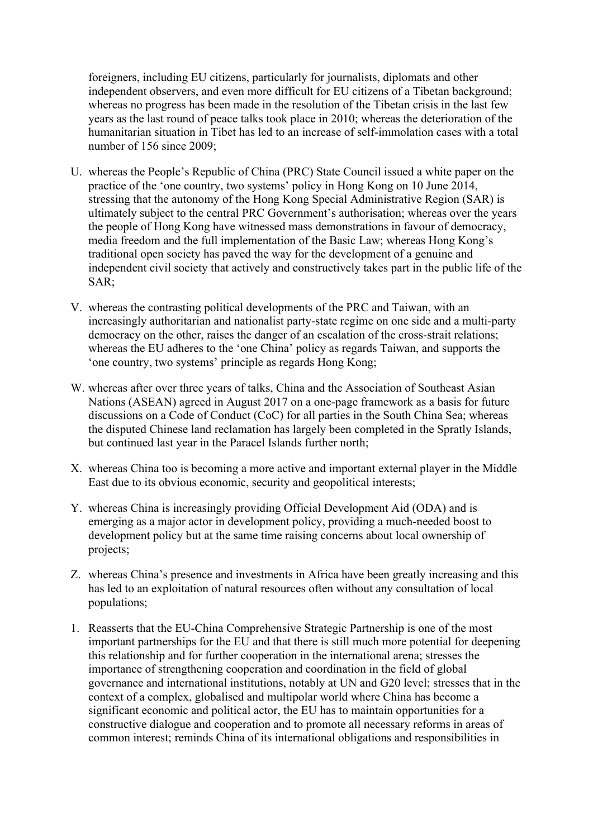foreigners, including EU citizens, particularly for journalists, diplomats and other independent observers, and even more difficult for EU citizens of a Tibetan background; whereas no progress has been made in the resolution of the Tibetan crisis in the last few years as the last round of peace talks took place in 2010; whereas the deterioration of the humanitarian situation in Tibet has led to an increase of self-immolation cases with a total number of 156 since 2009;

- U. whereas the People's Republic of China (PRC) State Council issued a white paper on the practice of the 'one country, two systems' policy in Hong Kong on 10 June 2014, stressing that the autonomy of the Hong Kong Special Administrative Region (SAR) is ultimately subject to the central PRC Government's authorisation; whereas over the years the people of Hong Kong have witnessed mass demonstrations in favour of democracy, media freedom and the full implementation of the Basic Law; whereas Hong Kong's traditional open society has paved the way for the development of a genuine and independent civil society that actively and constructively takes part in the public life of the SAR;
- V. whereas the contrasting political developments of the PRC and Taiwan, with an increasingly authoritarian and nationalist party-state regime on one side and a multi-party democracy on the other, raises the danger of an escalation of the cross-strait relations; whereas the EU adheres to the 'one China' policy as regards Taiwan, and supports the 'one country, two systems' principle as regards Hong Kong;
- W. whereas after over three years of talks, China and the Association of Southeast Asian Nations (ASEAN) agreed in August 2017 on a one-page framework as a basis for future discussions on a Code of Conduct (CoC) for all parties in the South China Sea; whereas the disputed Chinese land reclamation has largely been completed in the Spratly Islands, but continued last year in the Paracel Islands further north;
- X. whereas China too is becoming a more active and important external player in the Middle East due to its obvious economic, security and geopolitical interests;
- Y. whereas China is increasingly providing Official Development Aid (ODA) and is emerging as a major actor in development policy, providing a much-needed boost to development policy but at the same time raising concerns about local ownership of projects;
- Z. whereas China's presence and investments in Africa have been greatly increasing and this has led to an exploitation of natural resources often without any consultation of local populations;
- 1. Reasserts that the EU-China Comprehensive Strategic Partnership is one of the most important partnerships for the EU and that there is still much more potential for deepening this relationship and for further cooperation in the international arena; stresses the importance of strengthening cooperation and coordination in the field of global governance and international institutions, notably at UN and G20 level; stresses that in the context of a complex, globalised and multipolar world where China has become a significant economic and political actor, the EU has to maintain opportunities for a constructive dialogue and cooperation and to promote all necessary reforms in areas of common interest; reminds China of its international obligations and responsibilities in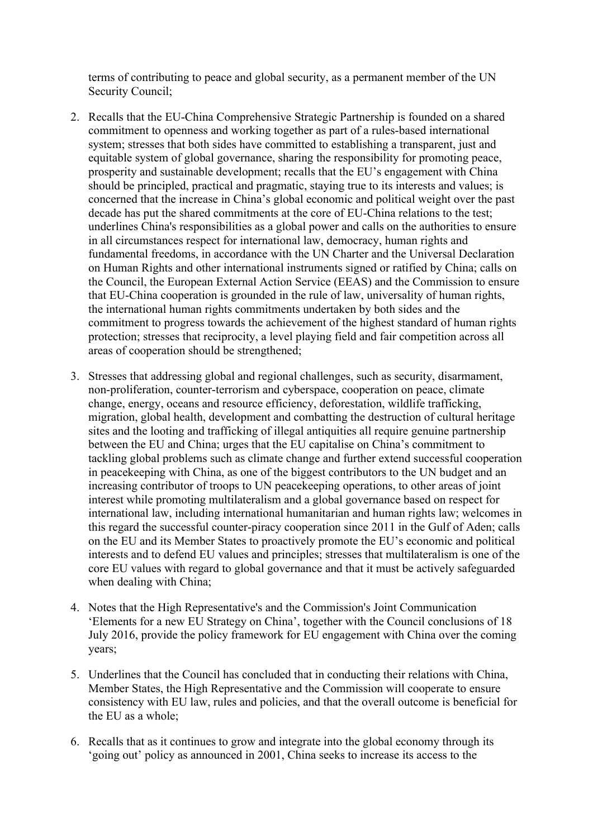terms of contributing to peace and global security, as a permanent member of the UN Security Council;

- 2. Recalls that the EU-China Comprehensive Strategic Partnership is founded on a shared commitment to openness and working together as part of a rules-based international system; stresses that both sides have committed to establishing a transparent, just and equitable system of global governance, sharing the responsibility for promoting peace, prosperity and sustainable development; recalls that the EU's engagement with China should be principled, practical and pragmatic, staying true to its interests and values; is concerned that the increase in China's global economic and political weight over the past decade has put the shared commitments at the core of EU-China relations to the test; underlines China's responsibilities as a global power and calls on the authorities to ensure in all circumstances respect for international law, democracy, human rights and fundamental freedoms, in accordance with the UN Charter and the Universal Declaration on Human Rights and other international instruments signed or ratified by China; calls on the Council, the European External Action Service (EEAS) and the Commission to ensure that EU-China cooperation is grounded in the rule of law, universality of human rights, the international human rights commitments undertaken by both sides and the commitment to progress towards the achievement of the highest standard of human rights protection; stresses that reciprocity, a level playing field and fair competition across all areas of cooperation should be strengthened;
- 3. Stresses that addressing global and regional challenges, such as security, disarmament, non-proliferation, counter-terrorism and cyberspace, cooperation on peace, climate change, energy, oceans and resource efficiency, deforestation, wildlife trafficking, migration, global health, development and combatting the destruction of cultural heritage sites and the looting and trafficking of illegal antiquities all require genuine partnership between the EU and China; urges that the EU capitalise on China's commitment to tackling global problems such as climate change and further extend successful cooperation in peacekeeping with China, as one of the biggest contributors to the UN budget and an increasing contributor of troops to UN peacekeeping operations, to other areas of joint interest while promoting multilateralism and a global governance based on respect for international law, including international humanitarian and human rights law; welcomes in this regard the successful counter-piracy cooperation since 2011 in the Gulf of Aden; calls on the EU and its Member States to proactively promote the EU's economic and political interests and to defend EU values and principles; stresses that multilateralism is one of the core EU values with regard to global governance and that it must be actively safeguarded when dealing with China;
- 4. Notes that the High Representative's and the Commission's Joint Communication 'Elements for a new EU Strategy on China', together with the Council conclusions of 18 July 2016, provide the policy framework for EU engagement with China over the coming years;
- 5. Underlines that the Council has concluded that in conducting their relations with China, Member States, the High Representative and the Commission will cooperate to ensure consistency with EU law, rules and policies, and that the overall outcome is beneficial for the EU as a whole;
- 6. Recalls that as it continues to grow and integrate into the global economy through its 'going out' policy as announced in 2001, China seeks to increase its access to the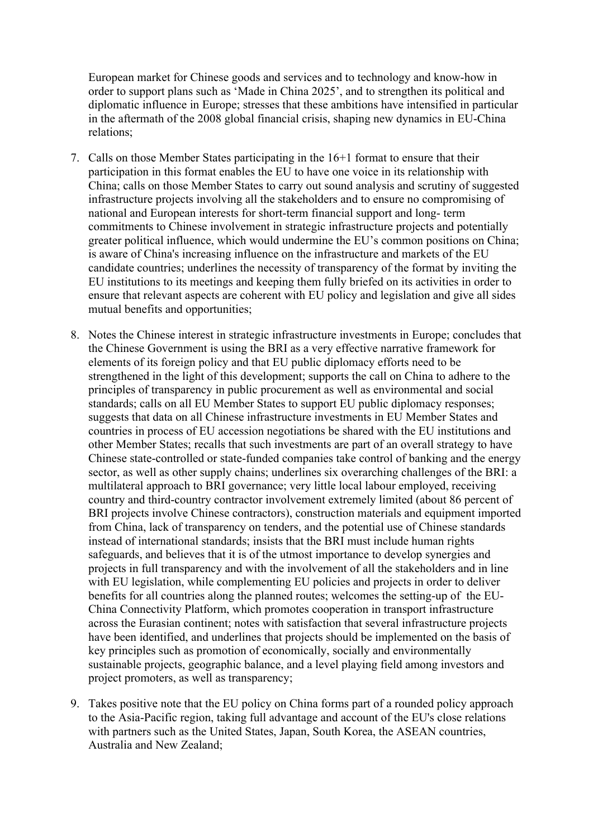European market for Chinese goods and services and to technology and know-how in order to support plans such as 'Made in China 2025', and to strengthen its political and diplomatic influence in Europe; stresses that these ambitions have intensified in particular in the aftermath of the 2008 global financial crisis, shaping new dynamics in EU-China relations;

- 7. Calls on those Member States participating in the 16+1 format to ensure that their participation in this format enables the EU to have one voice in its relationship with China; calls on those Member States to carry out sound analysis and scrutiny of suggested infrastructure projects involving all the stakeholders and to ensure no compromising of national and European interests for short-term financial support and long- term commitments to Chinese involvement in strategic infrastructure projects and potentially greater political influence, which would undermine the EU's common positions on China; is aware of China's increasing influence on the infrastructure and markets of the EU candidate countries; underlines the necessity of transparency of the format by inviting the EU institutions to its meetings and keeping them fully briefed on its activities in order to ensure that relevant aspects are coherent with EU policy and legislation and give all sides mutual benefits and opportunities;
- 8. Notes the Chinese interest in strategic infrastructure investments in Europe; concludes that the Chinese Government is using the BRI as a very effective narrative framework for elements of its foreign policy and that EU public diplomacy efforts need to be strengthened in the light of this development; supports the call on China to adhere to the principles of transparency in public procurement as well as environmental and social standards; calls on all EU Member States to support EU public diplomacy responses; suggests that data on all Chinese infrastructure investments in EU Member States and countries in process of EU accession negotiations be shared with the EU institutions and other Member States; recalls that such investments are part of an overall strategy to have Chinese state-controlled or state-funded companies take control of banking and the energy sector, as well as other supply chains; underlines six overarching challenges of the BRI: a multilateral approach to BRI governance; very little local labour employed, receiving country and third-country contractor involvement extremely limited (about 86 percent of BRI projects involve Chinese contractors), construction materials and equipment imported from China, lack of transparency on tenders, and the potential use of Chinese standards instead of international standards; insists that the BRI must include human rights safeguards, and believes that it is of the utmost importance to develop synergies and projects in full transparency and with the involvement of all the stakeholders and in line with EU legislation, while complementing EU policies and projects in order to deliver benefits for all countries along the planned routes; welcomes the setting-up of the EU-China Connectivity Platform, which promotes cooperation in transport infrastructure across the Eurasian continent; notes with satisfaction that several infrastructure projects have been identified, and underlines that projects should be implemented on the basis of key principles such as promotion of economically, socially and environmentally sustainable projects, geographic balance, and a level playing field among investors and project promoters, as well as transparency;
- 9. Takes positive note that the EU policy on China forms part of a rounded policy approach to the Asia-Pacific region, taking full advantage and account of the EU's close relations with partners such as the United States, Japan, South Korea, the ASEAN countries, Australia and New Zealand;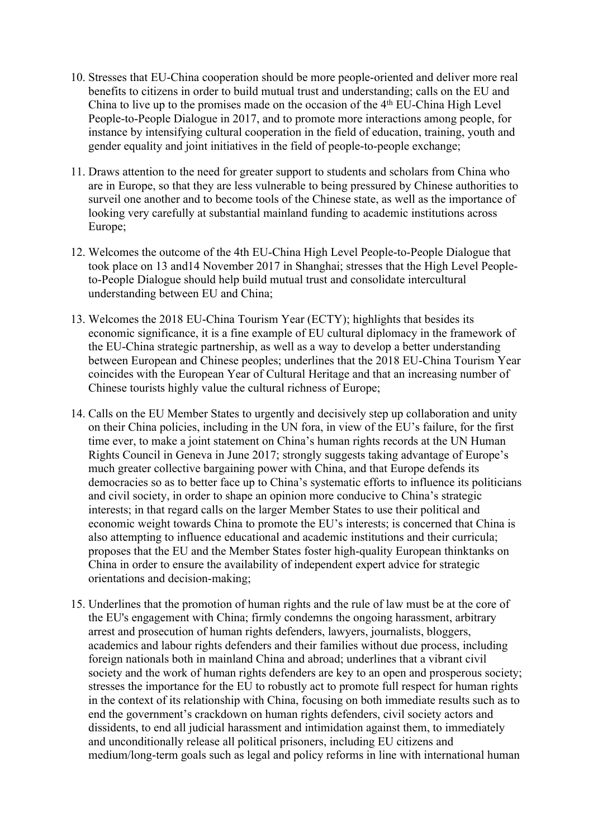- 10. Stresses that EU-China cooperation should be more people-oriented and deliver more real benefits to citizens in order to build mutual trust and understanding; calls on the EU and China to live up to the promises made on the occasion of the 4th EU-China High Level People-to-People Dialogue in 2017, and to promote more interactions among people, for instance by intensifying cultural cooperation in the field of education, training, youth and gender equality and joint initiatives in the field of people-to-people exchange;
- 11. Draws attention to the need for greater support to students and scholars from China who are in Europe, so that they are less vulnerable to being pressured by Chinese authorities to surveil one another and to become tools of the Chinese state, as well as the importance of looking very carefully at substantial mainland funding to academic institutions across Europe;
- 12. Welcomes the outcome of the 4th EU-China High Level People-to-People Dialogue that took place on 13 and14 November 2017 in Shanghai; stresses that the High Level Peopleto-People Dialogue should help build mutual trust and consolidate intercultural understanding between EU and China;
- 13. Welcomes the 2018 EU-China Tourism Year (ECTY); highlights that besides its economic significance, it is a fine example of EU cultural diplomacy in the framework of the EU-China strategic partnership, as well as a way to develop a better understanding between European and Chinese peoples; underlines that the 2018 EU-China Tourism Year coincides with the European Year of Cultural Heritage and that an increasing number of Chinese tourists highly value the cultural richness of Europe;
- 14. Calls on the EU Member States to urgently and decisively step up collaboration and unity on their China policies, including in the UN fora, in view of the EU's failure, for the first time ever, to make a joint statement on China's human rights records at the UN Human Rights Council in Geneva in June 2017; strongly suggests taking advantage of Europe's much greater collective bargaining power with China, and that Europe defends its democracies so as to better face up to China's systematic efforts to influence its politicians and civil society, in order to shape an opinion more conducive to China's strategic interests; in that regard calls on the larger Member States to use their political and economic weight towards China to promote the EU's interests; is concerned that China is also attempting to influence educational and academic institutions and their curricula; proposes that the EU and the Member States foster high-quality European thinktanks on China in order to ensure the availability of independent expert advice for strategic orientations and decision-making;
- 15. Underlines that the promotion of human rights and the rule of law must be at the core of the EU's engagement with China; firmly condemns the ongoing harassment, arbitrary arrest and prosecution of human rights defenders, lawyers, journalists, bloggers, academics and labour rights defenders and their families without due process, including foreign nationals both in mainland China and abroad; underlines that a vibrant civil society and the work of human rights defenders are key to an open and prosperous society; stresses the importance for the EU to robustly act to promote full respect for human rights in the context of its relationship with China, focusing on both immediate results such as to end the government's crackdown on human rights defenders, civil society actors and dissidents, to end all judicial harassment and intimidation against them, to immediately and unconditionally release all political prisoners, including EU citizens and medium/long-term goals such as legal and policy reforms in line with international human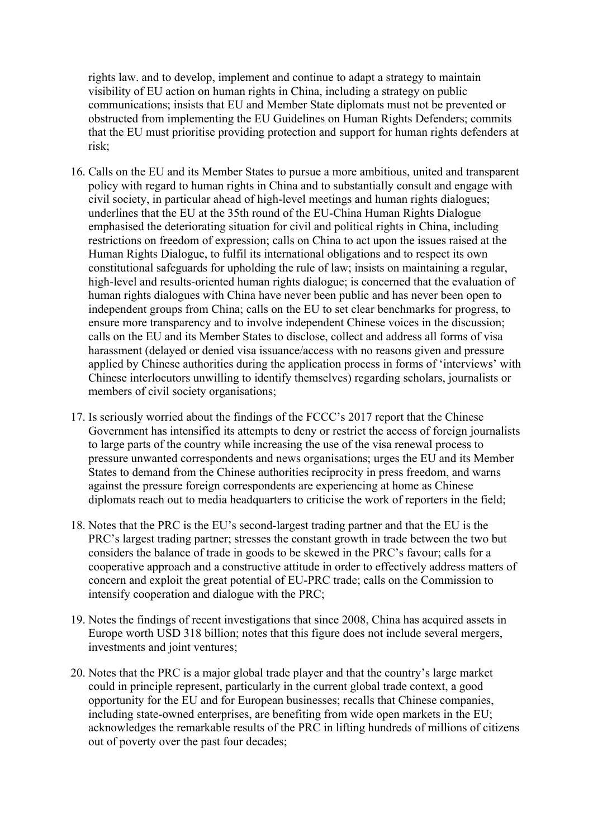rights law. and to develop, implement and continue to adapt a strategy to maintain visibility of EU action on human rights in China, including a strategy on public communications; insists that EU and Member State diplomats must not be prevented or obstructed from implementing the EU Guidelines on Human Rights Defenders; commits that the EU must prioritise providing protection and support for human rights defenders at risk;

- 16. Calls on the EU and its Member States to pursue a more ambitious, united and transparent policy with regard to human rights in China and to substantially consult and engage with civil society, in particular ahead of high-level meetings and human rights dialogues; underlines that the EU at the 35th round of the EU-China Human Rights Dialogue emphasised the deteriorating situation for civil and political rights in China, including restrictions on freedom of expression; calls on China to act upon the issues raised at the Human Rights Dialogue, to fulfil its international obligations and to respect its own constitutional safeguards for upholding the rule of law; insists on maintaining a regular, high-level and results-oriented human rights dialogue; is concerned that the evaluation of human rights dialogues with China have never been public and has never been open to independent groups from China; calls on the EU to set clear benchmarks for progress, to ensure more transparency and to involve independent Chinese voices in the discussion; calls on the EU and its Member States to disclose, collect and address all forms of visa harassment (delayed or denied visa issuance/access with no reasons given and pressure applied by Chinese authorities during the application process in forms of 'interviews' with Chinese interlocutors unwilling to identify themselves) regarding scholars, journalists or members of civil society organisations;
- 17. Is seriously worried about the findings of the FCCC's 2017 report that the Chinese Government has intensified its attempts to deny or restrict the access of foreign journalists to large parts of the country while increasing the use of the visa renewal process to pressure unwanted correspondents and news organisations; urges the EU and its Member States to demand from the Chinese authorities reciprocity in press freedom, and warns against the pressure foreign correspondents are experiencing at home as Chinese diplomats reach out to media headquarters to criticise the work of reporters in the field;
- 18. Notes that the PRC is the EU's second-largest trading partner and that the EU is the PRC's largest trading partner; stresses the constant growth in trade between the two but considers the balance of trade in goods to be skewed in the PRC's favour; calls for a cooperative approach and a constructive attitude in order to effectively address matters of concern and exploit the great potential of EU-PRC trade; calls on the Commission to intensify cooperation and dialogue with the PRC;
- 19. Notes the findings of recent investigations that since 2008, China has acquired assets in Europe worth USD 318 billion; notes that this figure does not include several mergers, investments and joint ventures;
- 20. Notes that the PRC is a major global trade player and that the country's large market could in principle represent, particularly in the current global trade context, a good opportunity for the EU and for European businesses; recalls that Chinese companies, including state-owned enterprises, are benefiting from wide open markets in the EU; acknowledges the remarkable results of the PRC in lifting hundreds of millions of citizens out of poverty over the past four decades;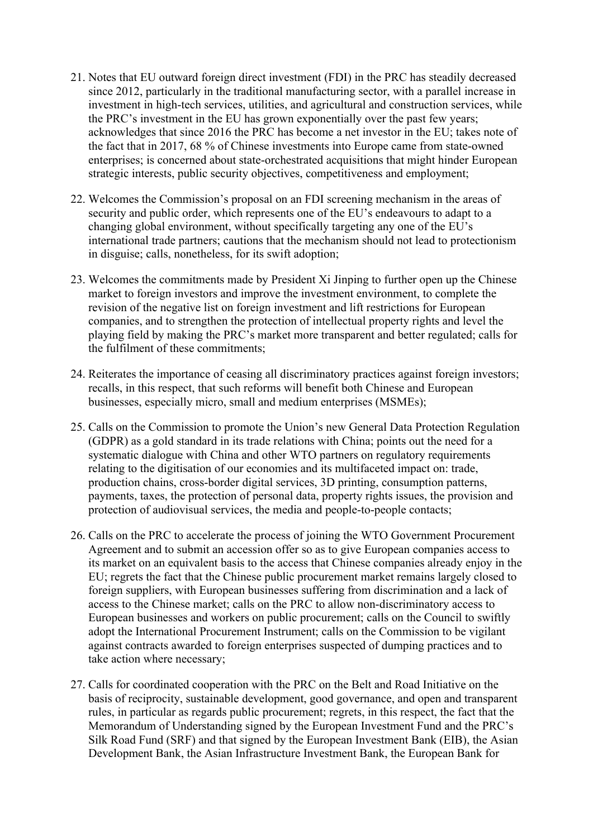- 21. Notes that EU outward foreign direct investment (FDI) in the PRC has steadily decreased since 2012, particularly in the traditional manufacturing sector, with a parallel increase in investment in high-tech services, utilities, and agricultural and construction services, while the PRC's investment in the EU has grown exponentially over the past few years; acknowledges that since 2016 the PRC has become a net investor in the EU; takes note of the fact that in 2017, 68 % of Chinese investments into Europe came from state-owned enterprises; is concerned about state-orchestrated acquisitions that might hinder European strategic interests, public security objectives, competitiveness and employment;
- 22. Welcomes the Commission's proposal on an FDI screening mechanism in the areas of security and public order, which represents one of the EU's endeavours to adapt to a changing global environment, without specifically targeting any one of the EU's international trade partners; cautions that the mechanism should not lead to protectionism in disguise; calls, nonetheless, for its swift adoption;
- 23. Welcomes the commitments made by President Xi Jinping to further open up the Chinese market to foreign investors and improve the investment environment, to complete the revision of the negative list on foreign investment and lift restrictions for European companies, and to strengthen the protection of intellectual property rights and level the playing field by making the PRC's market more transparent and better regulated; calls for the fulfilment of these commitments;
- 24. Reiterates the importance of ceasing all discriminatory practices against foreign investors; recalls, in this respect, that such reforms will benefit both Chinese and European businesses, especially micro, small and medium enterprises (MSMEs);
- 25. Calls on the Commission to promote the Union's new General Data Protection Regulation (GDPR) as a gold standard in its trade relations with China; points out the need for a systematic dialogue with China and other WTO partners on regulatory requirements relating to the digitisation of our economies and its multifaceted impact on: trade, production chains, cross-border digital services, 3D printing, consumption patterns, payments, taxes, the protection of personal data, property rights issues, the provision and protection of audiovisual services, the media and people-to-people contacts;
- 26. Calls on the PRC to accelerate the process of joining the WTO Government Procurement Agreement and to submit an accession offer so as to give European companies access to its market on an equivalent basis to the access that Chinese companies already enjoy in the EU; regrets the fact that the Chinese public procurement market remains largely closed to foreign suppliers, with European businesses suffering from discrimination and a lack of access to the Chinese market; calls on the PRC to allow non-discriminatory access to European businesses and workers on public procurement; calls on the Council to swiftly adopt the International Procurement Instrument; calls on the Commission to be vigilant against contracts awarded to foreign enterprises suspected of dumping practices and to take action where necessary;
- 27. Calls for coordinated cooperation with the PRC on the Belt and Road Initiative on the basis of reciprocity, sustainable development, good governance, and open and transparent rules, in particular as regards public procurement; regrets, in this respect, the fact that the Memorandum of Understanding signed by the European Investment Fund and the PRC's Silk Road Fund (SRF) and that signed by the European Investment Bank (EIB), the Asian Development Bank, the Asian Infrastructure Investment Bank, the European Bank for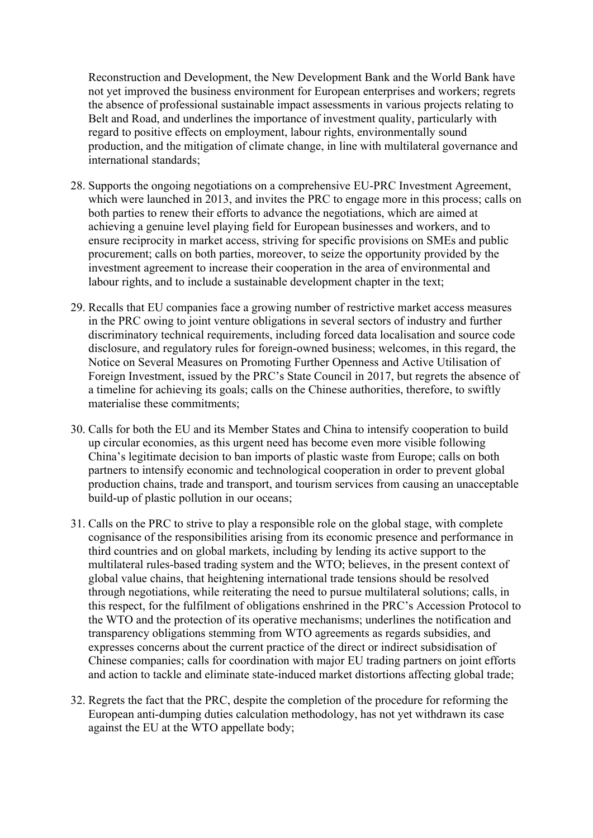Reconstruction and Development, the New Development Bank and the World Bank have not yet improved the business environment for European enterprises and workers; regrets the absence of professional sustainable impact assessments in various projects relating to Belt and Road, and underlines the importance of investment quality, particularly with regard to positive effects on employment, labour rights, environmentally sound production, and the mitigation of climate change, in line with multilateral governance and international standards;

- 28. Supports the ongoing negotiations on a comprehensive EU-PRC Investment Agreement, which were launched in 2013, and invites the PRC to engage more in this process; calls on both parties to renew their efforts to advance the negotiations, which are aimed at achieving a genuine level playing field for European businesses and workers, and to ensure reciprocity in market access, striving for specific provisions on SMEs and public procurement; calls on both parties, moreover, to seize the opportunity provided by the investment agreement to increase their cooperation in the area of environmental and labour rights, and to include a sustainable development chapter in the text;
- 29. Recalls that EU companies face a growing number of restrictive market access measures in the PRC owing to joint venture obligations in several sectors of industry and further discriminatory technical requirements, including forced data localisation and source code disclosure, and regulatory rules for foreign-owned business; welcomes, in this regard, the Notice on Several Measures on Promoting Further Openness and Active Utilisation of Foreign Investment, issued by the PRC's State Council in 2017, but regrets the absence of a timeline for achieving its goals; calls on the Chinese authorities, therefore, to swiftly materialise these commitments;
- 30. Calls for both the EU and its Member States and China to intensify cooperation to build up circular economies, as this urgent need has become even more visible following China's legitimate decision to ban imports of plastic waste from Europe; calls on both partners to intensify economic and technological cooperation in order to prevent global production chains, trade and transport, and tourism services from causing an unacceptable build-up of plastic pollution in our oceans;
- 31. Calls on the PRC to strive to play a responsible role on the global stage, with complete cognisance of the responsibilities arising from its economic presence and performance in third countries and on global markets, including by lending its active support to the multilateral rules-based trading system and the WTO; believes, in the present context of global value chains, that heightening international trade tensions should be resolved through negotiations, while reiterating the need to pursue multilateral solutions; calls, in this respect, for the fulfilment of obligations enshrined in the PRC's Accession Protocol to the WTO and the protection of its operative mechanisms; underlines the notification and transparency obligations stemming from WTO agreements as regards subsidies, and expresses concerns about the current practice of the direct or indirect subsidisation of Chinese companies; calls for coordination with major EU trading partners on joint efforts and action to tackle and eliminate state-induced market distortions affecting global trade;
- 32. Regrets the fact that the PRC, despite the completion of the procedure for reforming the European anti-dumping duties calculation methodology, has not yet withdrawn its case against the EU at the WTO appellate body;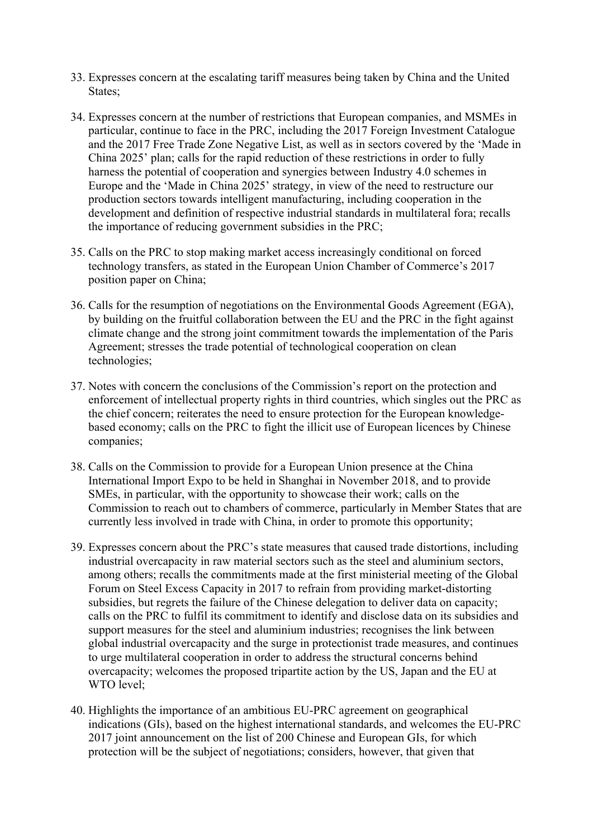- 33. Expresses concern at the escalating tariff measures being taken by China and the United States:
- 34. Expresses concern at the number of restrictions that European companies, and MSMEs in particular, continue to face in the PRC, including the 2017 Foreign Investment Catalogue and the 2017 Free Trade Zone Negative List, as well as in sectors covered by the 'Made in China 2025' plan; calls for the rapid reduction of these restrictions in order to fully harness the potential of cooperation and synergies between Industry 4.0 schemes in Europe and the 'Made in China 2025' strategy, in view of the need to restructure our production sectors towards intelligent manufacturing, including cooperation in the development and definition of respective industrial standards in multilateral fora; recalls the importance of reducing government subsidies in the PRC;
- 35. Calls on the PRC to stop making market access increasingly conditional on forced technology transfers, as stated in the European Union Chamber of Commerce's 2017 position paper on China;
- 36. Calls for the resumption of negotiations on the Environmental Goods Agreement (EGA), by building on the fruitful collaboration between the EU and the PRC in the fight against climate change and the strong joint commitment towards the implementation of the Paris Agreement; stresses the trade potential of technological cooperation on clean technologies;
- 37. Notes with concern the conclusions of the Commission's report on the protection and enforcement of intellectual property rights in third countries, which singles out the PRC as the chief concern; reiterates the need to ensure protection for the European knowledgebased economy; calls on the PRC to fight the illicit use of European licences by Chinese companies;
- 38. Calls on the Commission to provide for a European Union presence at the China International Import Expo to be held in Shanghai in November 2018, and to provide SMEs, in particular, with the opportunity to showcase their work; calls on the Commission to reach out to chambers of commerce, particularly in Member States that are currently less involved in trade with China, in order to promote this opportunity;
- 39. Expresses concern about the PRC's state measures that caused trade distortions, including industrial overcapacity in raw material sectors such as the steel and aluminium sectors, among others; recalls the commitments made at the first ministerial meeting of the Global Forum on Steel Excess Capacity in 2017 to refrain from providing market-distorting subsidies, but regrets the failure of the Chinese delegation to deliver data on capacity; calls on the PRC to fulfil its commitment to identify and disclose data on its subsidies and support measures for the steel and aluminium industries; recognises the link between global industrial overcapacity and the surge in protectionist trade measures, and continues to urge multilateral cooperation in order to address the structural concerns behind overcapacity; welcomes the proposed tripartite action by the US, Japan and the EU at WTO level;
- 40. Highlights the importance of an ambitious EU-PRC agreement on geographical indications (GIs), based on the highest international standards, and welcomes the EU-PRC 2017 joint announcement on the list of 200 Chinese and European GIs, for which protection will be the subject of negotiations; considers, however, that given that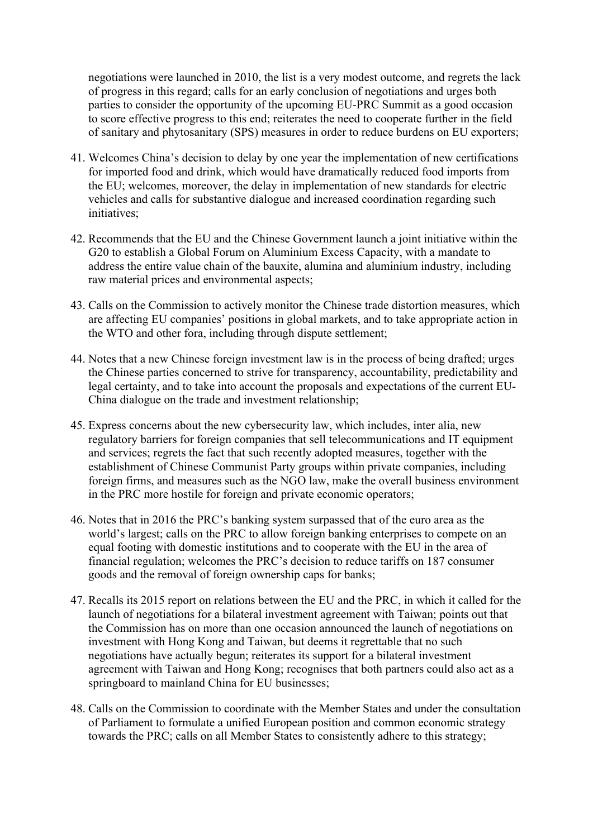negotiations were launched in 2010, the list is a very modest outcome, and regrets the lack of progress in this regard; calls for an early conclusion of negotiations and urges both parties to consider the opportunity of the upcoming EU-PRC Summit as a good occasion to score effective progress to this end; reiterates the need to cooperate further in the field of sanitary and phytosanitary (SPS) measures in order to reduce burdens on EU exporters;

- 41. Welcomes China's decision to delay by one year the implementation of new certifications for imported food and drink, which would have dramatically reduced food imports from the EU; welcomes, moreover, the delay in implementation of new standards for electric vehicles and calls for substantive dialogue and increased coordination regarding such initiatives;
- 42. Recommends that the EU and the Chinese Government launch a joint initiative within the G20 to establish a Global Forum on Aluminium Excess Capacity, with a mandate to address the entire value chain of the bauxite, alumina and aluminium industry, including raw material prices and environmental aspects;
- 43. Calls on the Commission to actively monitor the Chinese trade distortion measures, which are affecting EU companies' positions in global markets, and to take appropriate action in the WTO and other fora, including through dispute settlement;
- 44. Notes that a new Chinese foreign investment law is in the process of being drafted; urges the Chinese parties concerned to strive for transparency, accountability, predictability and legal certainty, and to take into account the proposals and expectations of the current EU-China dialogue on the trade and investment relationship;
- 45. Express concerns about the new cybersecurity law, which includes, inter alia, new regulatory barriers for foreign companies that sell telecommunications and IT equipment and services; regrets the fact that such recently adopted measures, together with the establishment of Chinese Communist Party groups within private companies, including foreign firms, and measures such as the NGO law, make the overall business environment in the PRC more hostile for foreign and private economic operators;
- 46. Notes that in 2016 the PRC's banking system surpassed that of the euro area as the world's largest; calls on the PRC to allow foreign banking enterprises to compete on an equal footing with domestic institutions and to cooperate with the EU in the area of financial regulation; welcomes the PRC's decision to reduce tariffs on 187 consumer goods and the removal of foreign ownership caps for banks;
- 47. Recalls its 2015 report on relations between the EU and the PRC, in which it called for the launch of negotiations for a bilateral investment agreement with Taiwan; points out that the Commission has on more than one occasion announced the launch of negotiations on investment with Hong Kong and Taiwan, but deems it regrettable that no such negotiations have actually begun; reiterates its support for a bilateral investment agreement with Taiwan and Hong Kong; recognises that both partners could also act as a springboard to mainland China for EU businesses;
- 48. Calls on the Commission to coordinate with the Member States and under the consultation of Parliament to formulate a unified European position and common economic strategy towards the PRC; calls on all Member States to consistently adhere to this strategy;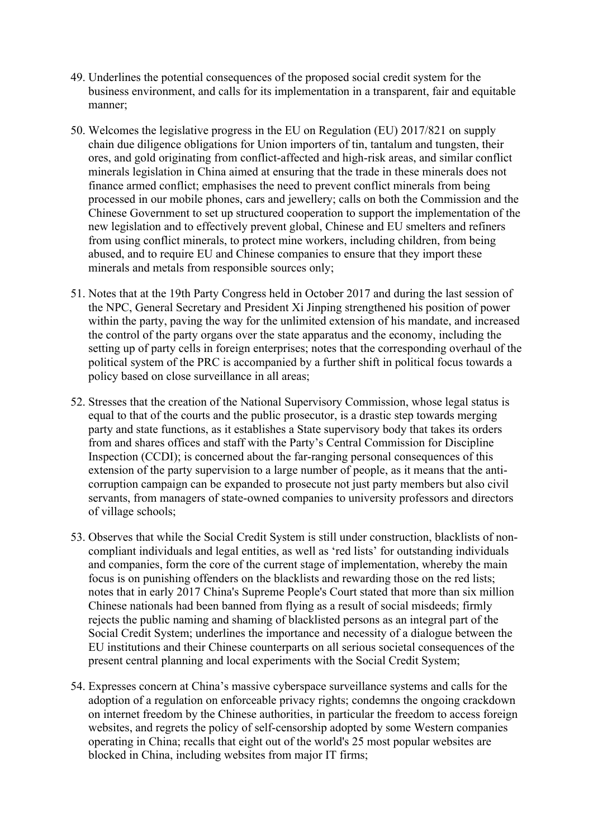- 49. Underlines the potential consequences of the proposed social credit system for the business environment, and calls for its implementation in a transparent, fair and equitable manner;
- 50. Welcomes the legislative progress in the EU on Regulation (EU) 2017/821 on supply chain due diligence obligations for Union importers of tin, tantalum and tungsten, their ores, and gold originating from conflict-affected and high-risk areas, and similar conflict minerals legislation in China aimed at ensuring that the trade in these minerals does not finance armed conflict; emphasises the need to prevent conflict minerals from being processed in our mobile phones, cars and jewellery; calls on both the Commission and the Chinese Government to set up structured cooperation to support the implementation of the new legislation and to effectively prevent global, Chinese and EU smelters and refiners from using conflict minerals, to protect mine workers, including children, from being abused, and to require EU and Chinese companies to ensure that they import these minerals and metals from responsible sources only;
- 51. Notes that at the 19th Party Congress held in October 2017 and during the last session of the NPC, General Secretary and President Xi Jinping strengthened his position of power within the party, paving the way for the unlimited extension of his mandate, and increased the control of the party organs over the state apparatus and the economy, including the setting up of party cells in foreign enterprises; notes that the corresponding overhaul of the political system of the PRC is accompanied by a further shift in political focus towards a policy based on close surveillance in all areas;
- 52. Stresses that the creation of the National Supervisory Commission, whose legal status is equal to that of the courts and the public prosecutor, is a drastic step towards merging party and state functions, as it establishes a State supervisory body that takes its orders from and shares offices and staff with the Party's Central Commission for Discipline Inspection (CCDI); is concerned about the far-ranging personal consequences of this extension of the party supervision to a large number of people, as it means that the anticorruption campaign can be expanded to prosecute not just party members but also civil servants, from managers of state-owned companies to university professors and directors of village schools;
- 53. Observes that while the Social Credit System is still under construction, blacklists of noncompliant individuals and legal entities, as well as 'red lists' for outstanding individuals and companies, form the core of the current stage of implementation, whereby the main focus is on punishing offenders on the blacklists and rewarding those on the red lists; notes that in early 2017 China's Supreme People's Court stated that more than six million Chinese nationals had been banned from flying as a result of social misdeeds; firmly rejects the public naming and shaming of blacklisted persons as an integral part of the Social Credit System; underlines the importance and necessity of a dialogue between the EU institutions and their Chinese counterparts on all serious societal consequences of the present central planning and local experiments with the Social Credit System;
- 54. Expresses concern at China's massive cyberspace surveillance systems and calls for the adoption of a regulation on enforceable privacy rights; condemns the ongoing crackdown on internet freedom by the Chinese authorities, in particular the freedom to access foreign websites, and regrets the policy of self-censorship adopted by some Western companies operating in China; recalls that eight out of the world's 25 most popular websites are blocked in China, including websites from major IT firms;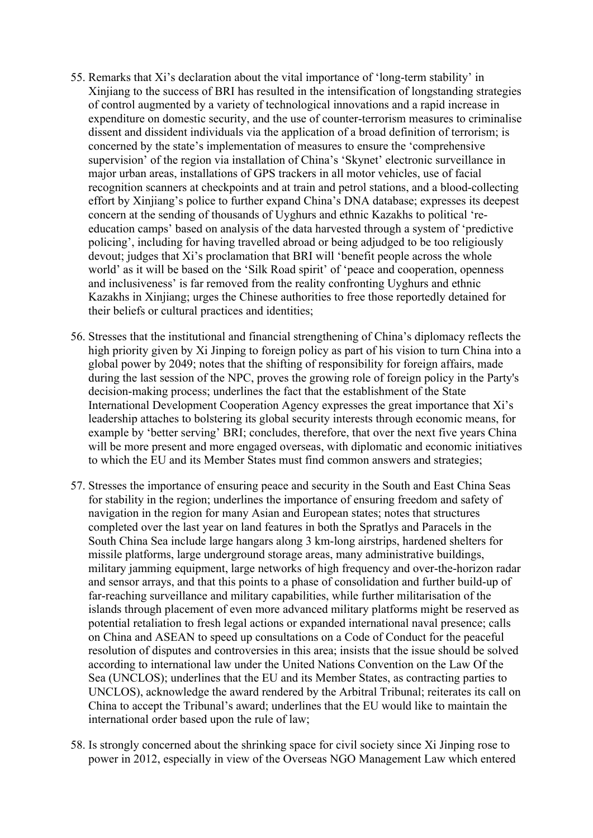- 55. Remarks that Xi's declaration about the vital importance of 'long-term stability' in Xinjiang to the success of BRI has resulted in the intensification of longstanding strategies of control augmented by a variety of technological innovations and a rapid increase in expenditure on domestic security, and the use of counter-terrorism measures to criminalise dissent and dissident individuals via the application of a broad definition of terrorism; is concerned by the state's implementation of measures to ensure the 'comprehensive supervision' of the region via installation of China's 'Skynet' electronic surveillance in major urban areas, installations of GPS trackers in all motor vehicles, use of facial recognition scanners at checkpoints and at train and petrol stations, and a blood-collecting effort by Xinjiang's police to further expand China's DNA database; expresses its deepest concern at the sending of thousands of Uyghurs and ethnic Kazakhs to political 'reeducation camps' based on analysis of the data harvested through a system of 'predictive policing', including for having travelled abroad or being adjudged to be too religiously devout; judges that Xi's proclamation that BRI will 'benefit people across the whole world' as it will be based on the 'Silk Road spirit' of 'peace and cooperation, openness and inclusiveness' is far removed from the reality confronting Uyghurs and ethnic Kazakhs in Xinjiang; urges the Chinese authorities to free those reportedly detained for their beliefs or cultural practices and identities;
- 56. Stresses that the institutional and financial strengthening of China's diplomacy reflects the high priority given by Xi Jinping to foreign policy as part of his vision to turn China into a global power by 2049; notes that the shifting of responsibility for foreign affairs, made during the last session of the NPC, proves the growing role of foreign policy in the Party's decision-making process; underlines the fact that the establishment of the State International Development Cooperation Agency expresses the great importance that Xi's leadership attaches to bolstering its global security interests through economic means, for example by 'better serving' BRI; concludes, therefore, that over the next five years China will be more present and more engaged overseas, with diplomatic and economic initiatives to which the EU and its Member States must find common answers and strategies;
- 57. Stresses the importance of ensuring peace and security in the South and East China Seas for stability in the region; underlines the importance of ensuring freedom and safety of navigation in the region for many Asian and European states; notes that structures completed over the last year on land features in both the Spratlys and Paracels in the South China Sea include large hangars along 3 km-long airstrips, hardened shelters for missile platforms, large underground storage areas, many administrative buildings, military jamming equipment, large networks of high frequency and over-the-horizon radar and sensor arrays, and that this points to a phase of consolidation and further build-up of far-reaching surveillance and military capabilities, while further militarisation of the islands through placement of even more advanced military platforms might be reserved as potential retaliation to fresh legal actions or expanded international naval presence; calls on China and ASEAN to speed up consultations on a Code of Conduct for the peaceful resolution of disputes and controversies in this area; insists that the issue should be solved according to international law under the United Nations Convention on the Law Of the Sea (UNCLOS); underlines that the EU and its Member States, as contracting parties to UNCLOS), acknowledge the award rendered by the Arbitral Tribunal; reiterates its call on China to accept the Tribunal's award; underlines that the EU would like to maintain the international order based upon the rule of law;
- 58. Is strongly concerned about the shrinking space for civil society since Xi Jinping rose to power in 2012, especially in view of the Overseas NGO Management Law which entered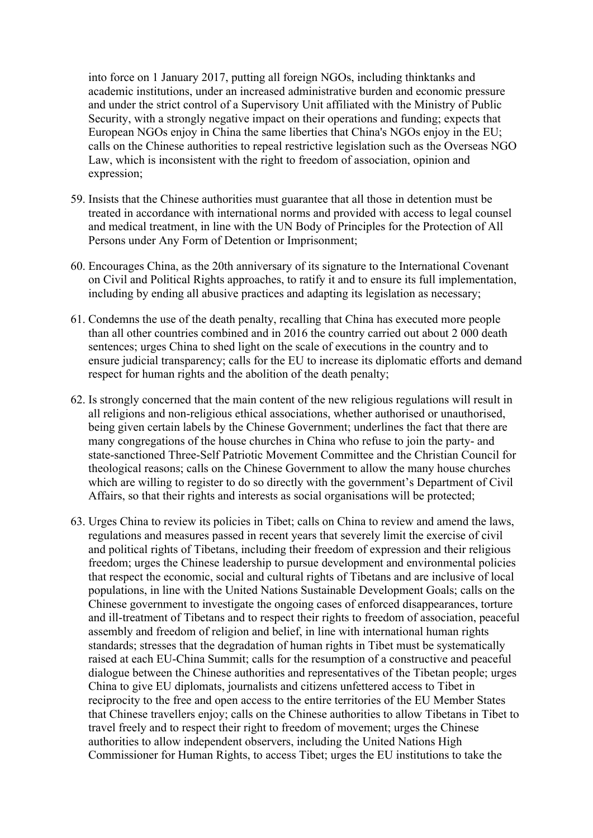into force on 1 January 2017, putting all foreign NGOs, including thinktanks and academic institutions, under an increased administrative burden and economic pressure and under the strict control of a Supervisory Unit affiliated with the Ministry of Public Security, with a strongly negative impact on their operations and funding; expects that European NGOs enjoy in China the same liberties that China's NGOs enjoy in the EU; calls on the Chinese authorities to repeal restrictive legislation such as the Overseas NGO Law, which is inconsistent with the right to freedom of association, opinion and expression;

- 59. Insists that the Chinese authorities must guarantee that all those in detention must be treated in accordance with international norms and provided with access to legal counsel and medical treatment, in line with the UN Body of Principles for the Protection of All Persons under Any Form of Detention or Imprisonment;
- 60. Encourages China, as the 20th anniversary of its signature to the International Covenant on Civil and Political Rights approaches, to ratify it and to ensure its full implementation, including by ending all abusive practices and adapting its legislation as necessary;
- 61. Condemns the use of the death penalty, recalling that China has executed more people than all other countries combined and in 2016 the country carried out about 2 000 death sentences; urges China to shed light on the scale of executions in the country and to ensure judicial transparency; calls for the EU to increase its diplomatic efforts and demand respect for human rights and the abolition of the death penalty;
- 62. Is strongly concerned that the main content of the new religious regulations will result in all religions and non-religious ethical associations, whether authorised or unauthorised, being given certain labels by the Chinese Government; underlines the fact that there are many congregations of the house churches in China who refuse to join the party- and state-sanctioned Three-Self Patriotic Movement Committee and the Christian Council for theological reasons; calls on the Chinese Government to allow the many house churches which are willing to register to do so directly with the government's Department of Civil Affairs, so that their rights and interests as social organisations will be protected;
- 63. Urges China to review its policies in Tibet; calls on China to review and amend the laws, regulations and measures passed in recent years that severely limit the exercise of civil and political rights of Tibetans, including their freedom of expression and their religious freedom; urges the Chinese leadership to pursue development and environmental policies that respect the economic, social and cultural rights of Tibetans and are inclusive of local populations, in line with the United Nations Sustainable Development Goals; calls on the Chinese government to investigate the ongoing cases of enforced disappearances, torture and ill-treatment of Tibetans and to respect their rights to freedom of association, peaceful assembly and freedom of religion and belief, in line with international human rights standards; stresses that the degradation of human rights in Tibet must be systematically raised at each EU-China Summit; calls for the resumption of a constructive and peaceful dialogue between the Chinese authorities and representatives of the Tibetan people; urges China to give EU diplomats, journalists and citizens unfettered access to Tibet in reciprocity to the free and open access to the entire territories of the EU Member States that Chinese travellers enjoy; calls on the Chinese authorities to allow Tibetans in Tibet to travel freely and to respect their right to freedom of movement; urges the Chinese authorities to allow independent observers, including the United Nations High Commissioner for Human Rights, to access Tibet; urges the EU institutions to take the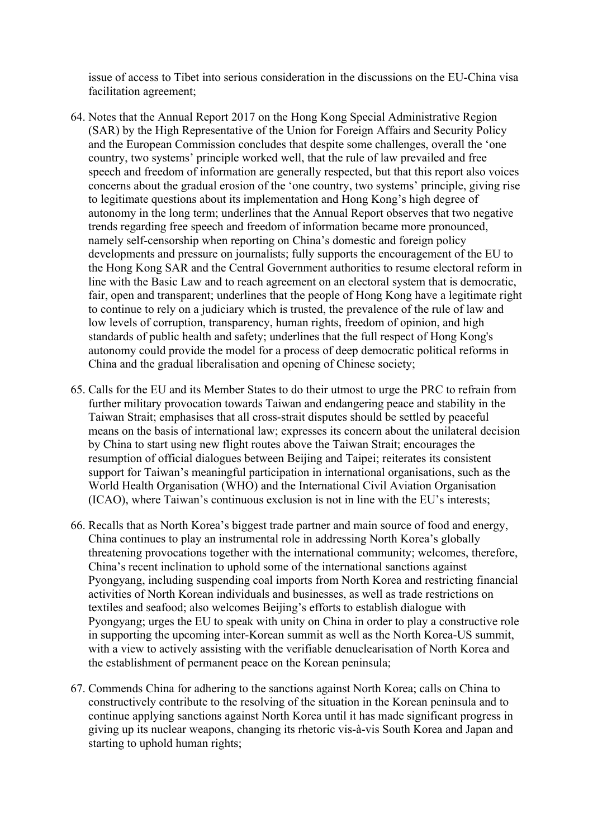issue of access to Tibet into serious consideration in the discussions on the EU-China visa facilitation agreement;

- 64. Notes that the Annual Report 2017 on the Hong Kong Special Administrative Region (SAR) by the High Representative of the Union for Foreign Affairs and Security Policy and the European Commission concludes that despite some challenges, overall the 'one country, two systems' principle worked well, that the rule of law prevailed and free speech and freedom of information are generally respected, but that this report also voices concerns about the gradual erosion of the 'one country, two systems' principle, giving rise to legitimate questions about its implementation and Hong Kong's high degree of autonomy in the long term; underlines that the Annual Report observes that two negative trends regarding free speech and freedom of information became more pronounced, namely self-censorship when reporting on China's domestic and foreign policy developments and pressure on journalists; fully supports the encouragement of the EU to the Hong Kong SAR and the Central Government authorities to resume electoral reform in line with the Basic Law and to reach agreement on an electoral system that is democratic, fair, open and transparent; underlines that the people of Hong Kong have a legitimate right to continue to rely on a judiciary which is trusted, the prevalence of the rule of law and low levels of corruption, transparency, human rights, freedom of opinion, and high standards of public health and safety; underlines that the full respect of Hong Kong's autonomy could provide the model for a process of deep democratic political reforms in China and the gradual liberalisation and opening of Chinese society;
- 65. Calls for the EU and its Member States to do their utmost to urge the PRC to refrain from further military provocation towards Taiwan and endangering peace and stability in the Taiwan Strait; emphasises that all cross-strait disputes should be settled by peaceful means on the basis of international law; expresses its concern about the unilateral decision by China to start using new flight routes above the Taiwan Strait; encourages the resumption of official dialogues between Beijing and Taipei; reiterates its consistent support for Taiwan's meaningful participation in international organisations, such as the World Health Organisation (WHO) and the International Civil Aviation Organisation (ICAO), where Taiwan's continuous exclusion is not in line with the EU's interests;
- 66. Recalls that as North Korea's biggest trade partner and main source of food and energy, China continues to play an instrumental role in addressing North Korea's globally threatening provocations together with the international community; welcomes, therefore, China's recent inclination to uphold some of the international sanctions against Pyongyang, including suspending coal imports from North Korea and restricting financial activities of North Korean individuals and businesses, as well as trade restrictions on textiles and seafood; also welcomes Beijing's efforts to establish dialogue with Pyongyang; urges the EU to speak with unity on China in order to play a constructive role in supporting the upcoming inter-Korean summit as well as the North Korea-US summit, with a view to actively assisting with the verifiable denuclearisation of North Korea and the establishment of permanent peace on the Korean peninsula;
- 67. Commends China for adhering to the sanctions against North Korea; calls on China to constructively contribute to the resolving of the situation in the Korean peninsula and to continue applying sanctions against North Korea until it has made significant progress in giving up its nuclear weapons, changing its rhetoric vis-à-vis South Korea and Japan and starting to uphold human rights;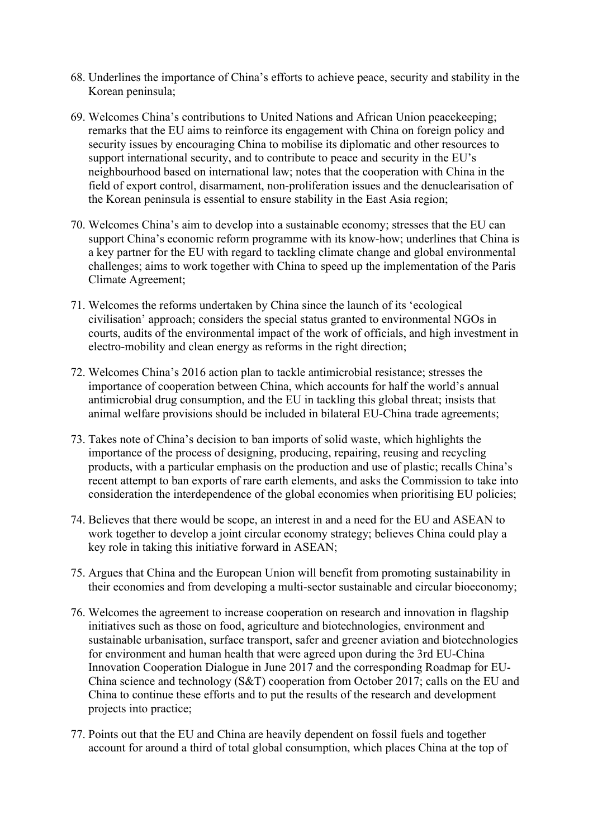- 68. Underlines the importance of China's efforts to achieve peace, security and stability in the Korean peninsula;
- 69. Welcomes China's contributions to United Nations and African Union peacekeeping; remarks that the EU aims to reinforce its engagement with China on foreign policy and security issues by encouraging China to mobilise its diplomatic and other resources to support international security, and to contribute to peace and security in the EU's neighbourhood based on international law; notes that the cooperation with China in the field of export control, disarmament, non-proliferation issues and the denuclearisation of the Korean peninsula is essential to ensure stability in the East Asia region;
- 70. Welcomes China's aim to develop into a sustainable economy; stresses that the EU can support China's economic reform programme with its know-how; underlines that China is a key partner for the EU with regard to tackling climate change and global environmental challenges; aims to work together with China to speed up the implementation of the Paris Climate Agreement;
- 71. Welcomes the reforms undertaken by China since the launch of its 'ecological civilisation' approach; considers the special status granted to environmental NGOs in courts, audits of the environmental impact of the work of officials, and high investment in electro-mobility and clean energy as reforms in the right direction;
- 72. Welcomes China's 2016 action plan to tackle antimicrobial resistance; stresses the importance of cooperation between China, which accounts for half the world's annual antimicrobial drug consumption, and the EU in tackling this global threat; insists that animal welfare provisions should be included in bilateral EU-China trade agreements;
- 73. Takes note of China's decision to ban imports of solid waste, which highlights the importance of the process of designing, producing, repairing, reusing and recycling products, with a particular emphasis on the production and use of plastic; recalls China's recent attempt to ban exports of rare earth elements, and asks the Commission to take into consideration the interdependence of the global economies when prioritising EU policies;
- 74. Believes that there would be scope, an interest in and a need for the EU and ASEAN to work together to develop a joint circular economy strategy; believes China could play a key role in taking this initiative forward in ASEAN;
- 75. Argues that China and the European Union will benefit from promoting sustainability in their economies and from developing a multi-sector sustainable and circular bioeconomy;
- 76. Welcomes the agreement to increase cooperation on research and innovation in flagship initiatives such as those on food, agriculture and biotechnologies, environment and sustainable urbanisation, surface transport, safer and greener aviation and biotechnologies for environment and human health that were agreed upon during the 3rd EU-China Innovation Cooperation Dialogue in June 2017 and the corresponding Roadmap for EU-China science and technology (S&T) cooperation from October 2017; calls on the EU and China to continue these efforts and to put the results of the research and development projects into practice;
- 77. Points out that the EU and China are heavily dependent on fossil fuels and together account for around a third of total global consumption, which places China at the top of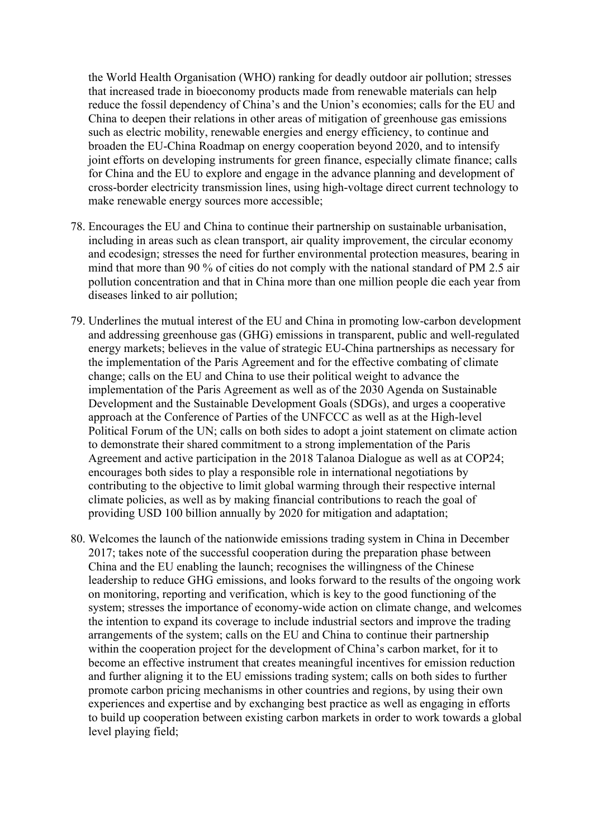the World Health Organisation (WHO) ranking for deadly outdoor air pollution; stresses that increased trade in bioeconomy products made from renewable materials can help reduce the fossil dependency of China's and the Union's economies; calls for the EU and China to deepen their relations in other areas of mitigation of greenhouse gas emissions such as electric mobility, renewable energies and energy efficiency, to continue and broaden the EU-China Roadmap on energy cooperation beyond 2020, and to intensify joint efforts on developing instruments for green finance, especially climate finance; calls for China and the EU to explore and engage in the advance planning and development of cross-border electricity transmission lines, using high-voltage direct current technology to make renewable energy sources more accessible;

- 78. Encourages the EU and China to continue their partnership on sustainable urbanisation, including in areas such as clean transport, air quality improvement, the circular economy and ecodesign; stresses the need for further environmental protection measures, bearing in mind that more than 90 % of cities do not comply with the national standard of PM 2.5 air pollution concentration and that in China more than one million people die each year from diseases linked to air pollution;
- 79. Underlines the mutual interest of the EU and China in promoting low-carbon development and addressing greenhouse gas (GHG) emissions in transparent, public and well-regulated energy markets; believes in the value of strategic EU-China partnerships as necessary for the implementation of the Paris Agreement and for the effective combating of climate change; calls on the EU and China to use their political weight to advance the implementation of the Paris Agreement as well as of the 2030 Agenda on Sustainable Development and the Sustainable Development Goals (SDGs), and urges a cooperative approach at the Conference of Parties of the UNFCCC as well as at the High-level Political Forum of the UN; calls on both sides to adopt a joint statement on climate action to demonstrate their shared commitment to a strong implementation of the Paris Agreement and active participation in the 2018 Talanoa Dialogue as well as at COP24; encourages both sides to play a responsible role in international negotiations by contributing to the objective to limit global warming through their respective internal climate policies, as well as by making financial contributions to reach the goal of providing USD 100 billion annually by 2020 for mitigation and adaptation;
- 80. Welcomes the launch of the nationwide emissions trading system in China in December 2017; takes note of the successful cooperation during the preparation phase between China and the EU enabling the launch; recognises the willingness of the Chinese leadership to reduce GHG emissions, and looks forward to the results of the ongoing work on monitoring, reporting and verification, which is key to the good functioning of the system; stresses the importance of economy-wide action on climate change, and welcomes the intention to expand its coverage to include industrial sectors and improve the trading arrangements of the system; calls on the EU and China to continue their partnership within the cooperation project for the development of China's carbon market, for it to become an effective instrument that creates meaningful incentives for emission reduction and further aligning it to the EU emissions trading system; calls on both sides to further promote carbon pricing mechanisms in other countries and regions, by using their own experiences and expertise and by exchanging best practice as well as engaging in efforts to build up cooperation between existing carbon markets in order to work towards a global level playing field;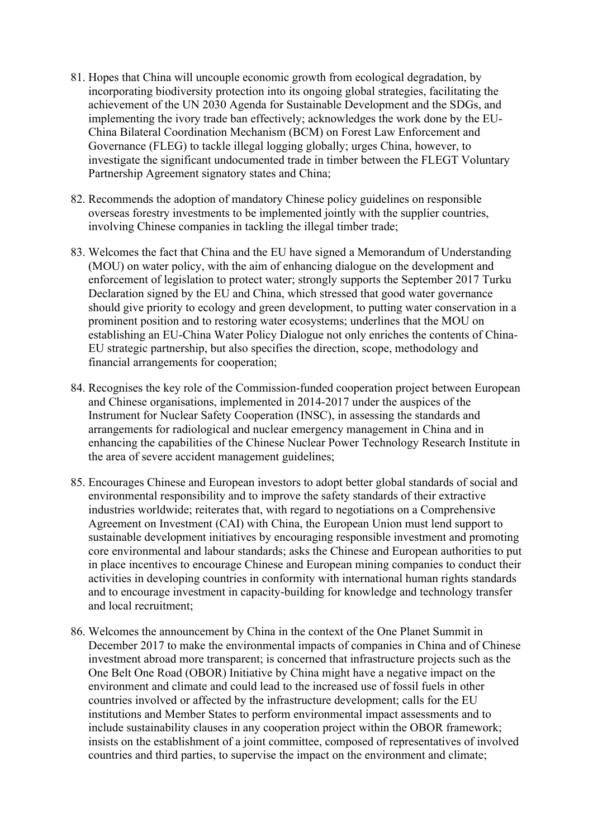- 81. Hopes that China will uncouple economic growth from ecological degradation, by incorporating biodiversity protection into its ongoing global strategies, facilitating the achievement of the UN 2030 Agenda for Sustainable Development and the SDGs, and implementing the ivory trade ban effectively; acknowledges the work done by the EU-China Bilateral Coordination Mechanism (BCM) on Forest Law Enforcement and Governance (FLEG) to tackle illegal logging globally; urges China, however, to investigate the significant undocumented trade in timber between the FLEGT Voluntary Partnership Agreement signatory states and China;
- 82. Recommends the adoption of mandatory Chinese policy guidelines on responsible overseas forestry investments to be implemented jointly with the supplier countries, involving Chinese companies in tackling the illegal timber trade;
- 83. Welcomes the fact that China and the EU have signed a Memorandum of Understanding (MOU) on water policy, with the aim of enhancing dialogue on the development and enforcement of legislation to protect water; strongly supports the September 2017 Turku Declaration signed by the EU and China, which stressed that good water governance should give priority to ecology and green development, to putting water conservation in a prominent position and to restoring water ecosystems; underlines that the MOU on establishing an EU-China Water Policy Dialogue not only enriches the contents of China-EU strategic partnership, but also specifies the direction, scope, methodology and financial arrangements for cooperation;
- 84. Recognises the key role of the Commission-funded cooperation project between European and Chinese organisations, implemented in 2014-2017 under the auspices of the Instrument for Nuclear Safety Cooperation (INSC), in assessing the standards and arrangements for radiological and nuclear emergency management in China and in enhancing the capabilities of the Chinese Nuclear Power Technology Research Institute in the area of severe accident management guidelines;
- 85. Encourages Chinese and European investors to adopt better global standards of social and environmental responsibility and to improve the safety standards of their extractive industries worldwide; reiterates that, with regard to negotiations on a Comprehensive Agreement on Investment (CAI) with China, the European Union must lend support to sustainable development initiatives by encouraging responsible investment and promoting core environmental and labour standards; asks the Chinese and European authorities to put in place incentives to encourage Chinese and European mining companies to conduct their activities in developing countries in conformity with international human rights standards and to encourage investment in capacity-building for knowledge and technology transfer and local recruitment;
- 86. Welcomes the announcement by China in the context of the One Planet Summit in December 2017 to make the environmental impacts of companies in China and of Chinese investment abroad more transparent; is concerned that infrastructure projects such as the One Belt One Road (OBOR) Initiative by China might have a negative impact on the environment and climate and could lead to the increased use of fossil fuels in other countries involved or affected by the infrastructure development; calls for the EU institutions and Member States to perform environmental impact assessments and to include sustainability clauses in any cooperation project within the OBOR framework; insists on the establishment of a joint committee, composed of representatives of involved countries and third parties, to supervise the impact on the environment and climate;